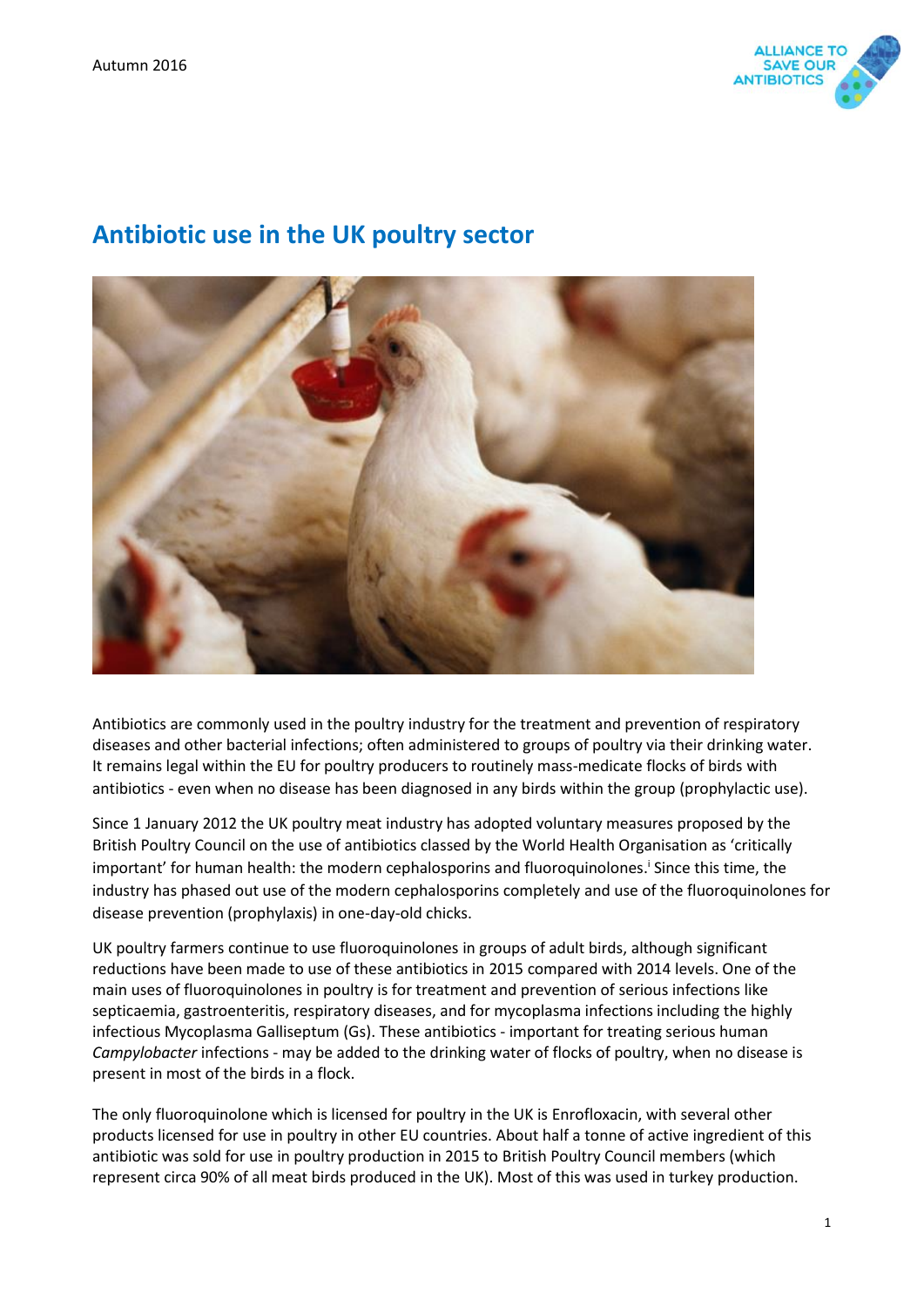

# **Antibiotic use in the UK poultry sector**



Antibiotics are commonly used in the poultry industry for the treatment and prevention of respiratory diseases and other bacterial infections; often administered to groups of poultry via their drinking water. It remains legal within the EU for poultry producers to routinely mass-medicate flocks of birds with antibiotics - even when no disease has been diagnosed in any birds within the group (prophylactic use).

Since 1 January 2012 the UK poultry meat industry has adopted voluntary measures proposed by the British Poultry Council on the use of antibiotics classed by the World Health Organisation as 'critically important' for human health: the modern cephalosporins and fluoroquinolones.<sup>i</sup> Since this time, the industry has phased out use of the modern cephalosporins completely and use of the fluoroquinolones for disease prevention (prophylaxis) in one-day-old chicks.

UK poultry farmers continue to use fluoroquinolones in groups of adult birds, although significant reductions have been made to use of these antibiotics in 2015 compared with 2014 levels. One of the main uses of fluoroquinolones in poultry is for treatment and prevention of serious infections like septicaemia, gastroenteritis, respiratory diseases, and for mycoplasma infections including the highly infectious Mycoplasma Galliseptum (Gs). These antibiotics - important for treating serious human *Campylobacter* infections - may be added to the drinking water of flocks of poultry, when no disease is present in most of the birds in a flock.

The only fluoroquinolone which is licensed for poultry in the UK is Enrofloxacin, with several other products licensed for use in poultry in other EU countries. About half a tonne of active ingredient of this antibiotic was sold for use in poultry production in 2015 to British Poultry Council members (which represent circa 90% of all meat birds produced in the UK). Most of this was used in turkey production.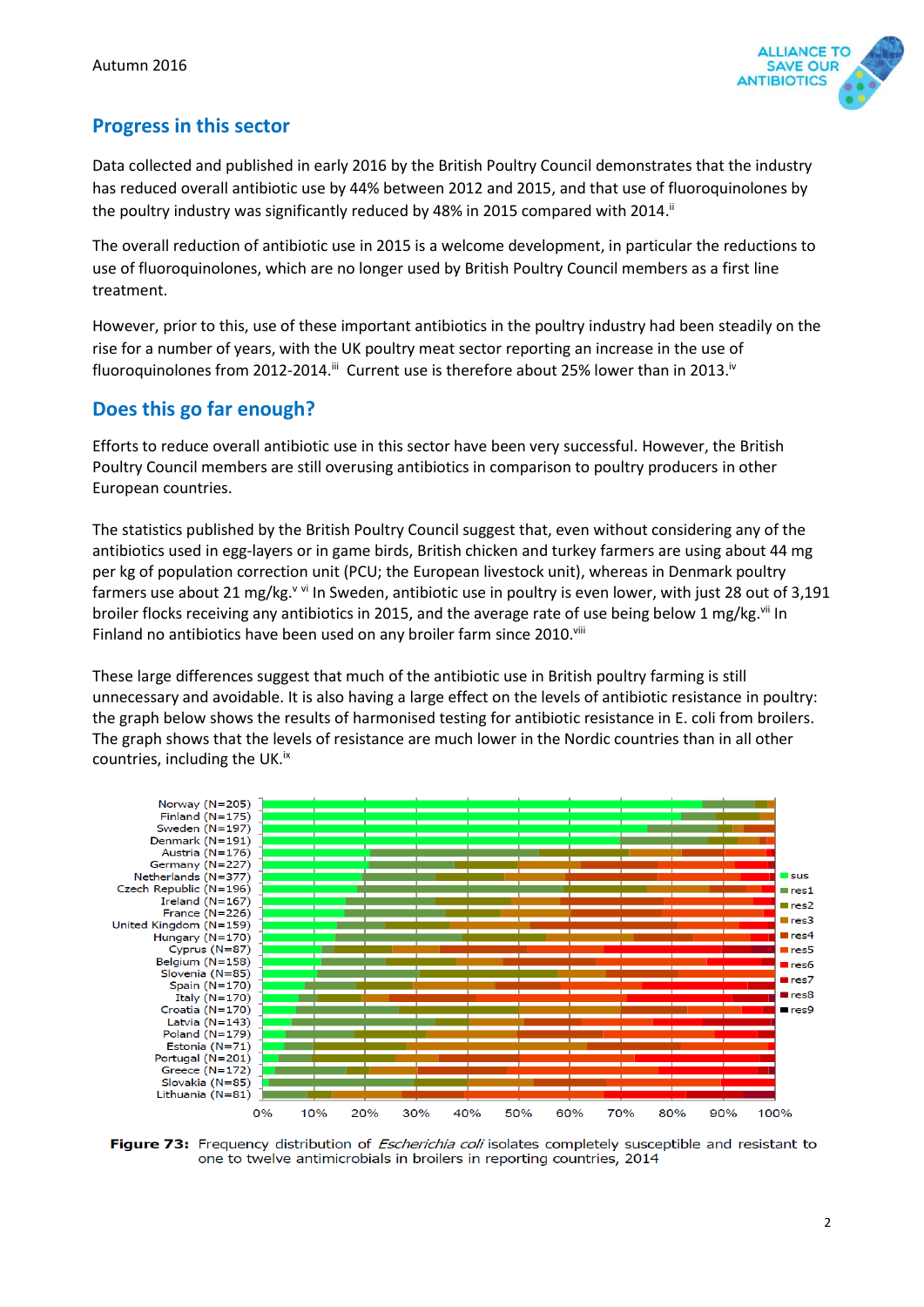

## **Progress in this sector**

Data collected and published in early 2016 by the British Poultry Council demonstrates that the industry has reduced overall antibiotic use by 44% between 2012 and 2015, and that use of fluoroquinolones by the poultry industry was significantly reduced by 48% in 2015 compared with 2014.<sup>ii</sup>

The overall reduction of antibiotic use in 2015 is a welcome development, in particular the reductions to use of fluoroquinolones, which are no longer used by British Poultry Council members as a first line treatment.

However, prior to this, use of these important antibiotics in the poultry industry had been steadily on the rise for a number of years, with the UK poultry meat sector reporting an increase in the use of fluoroquinolones from 2012-2014.<sup>iii</sup> Current use is therefore about 25% lower than in 2013.<sup>iv</sup>

## **Does this go far enough?**

Efforts to reduce overall antibiotic use in this sector have been very successful. However, the British Poultry Council members are still overusing antibiotics in comparison to poultry producers in other European countries.

The statistics published by the British Poultry Council suggest that, even without considering any of the antibiotics used in egg-layers or in game birds, British chicken and turkey farmers are using about 44 mg per kg of population correction unit (PCU; the European livestock unit), whereas in Denmark poultry farmers use about 21 mg/kg.<sup>v vi</sup> In Sweden, antibiotic use in poultry is even lower, with just 28 out of 3,191 broiler flocks receiving any antibiotics in 2015, and the average rate of use being below 1 mg/kg. Vii In Finland no antibiotics have been used on any broiler farm since 2010. Vill

These large differences suggest that much of the antibiotic use in British poultry farming is still unnecessary and avoidable. It is also having a large effect on the levels of antibiotic resistance in poultry: the graph below shows the results of harmonised testing for antibiotic resistance in E. coli from broilers. The graph shows that the levels of resistance are much lower in the Nordic countries than in all other countries, including the UK.<sup>ix</sup>



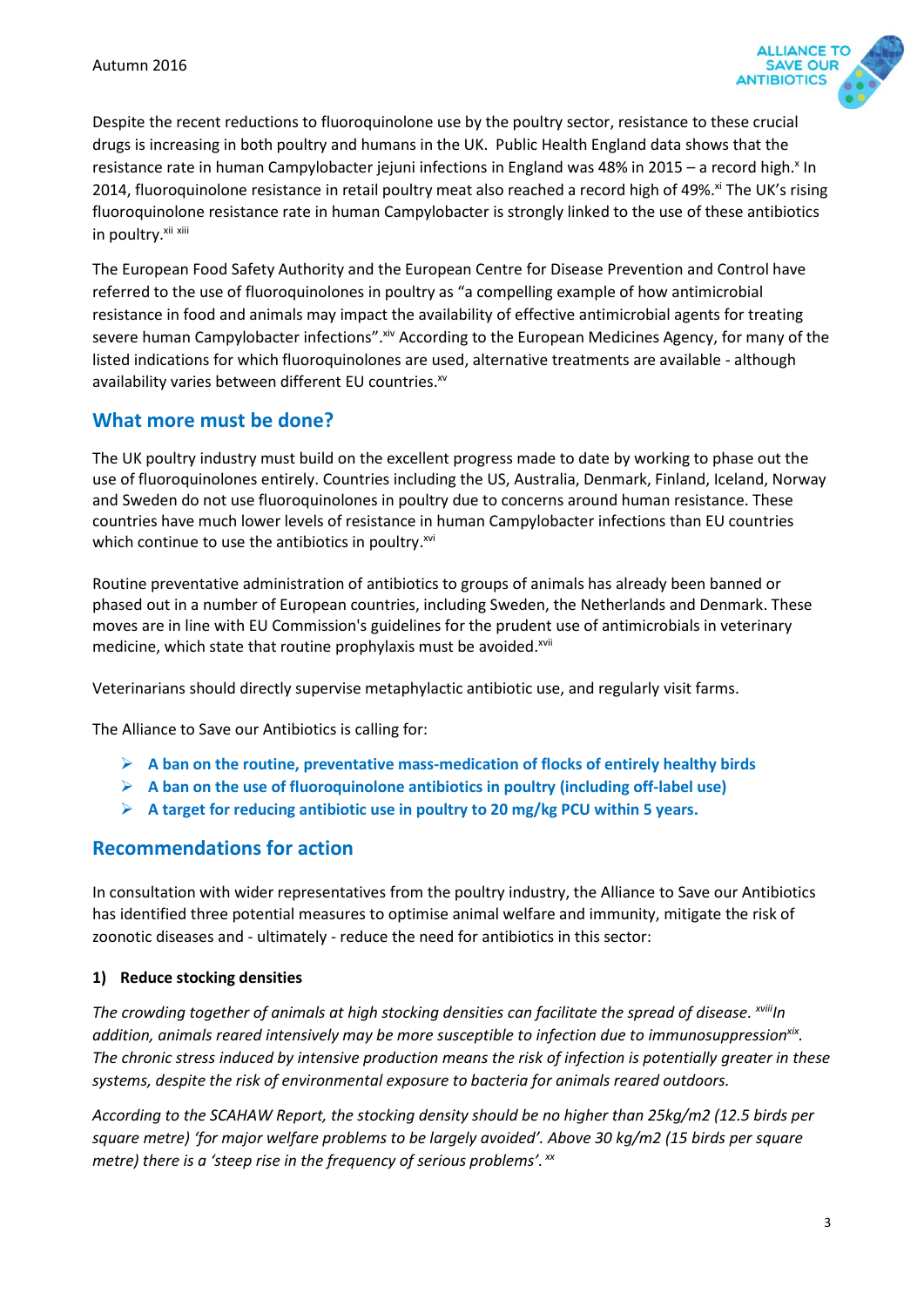

Despite the recent reductions to fluoroquinolone use by the poultry sector, resistance to these crucial drugs is increasing in both poultry and humans in the UK. Public Health England data shows that the resistance rate in human Campylobacter jejuni infections in England was 48% in 2015 - a record high.<sup>x</sup> In 2014, fluoroquinolone resistance in retail poultry meat also reached a record high of 49%.<sup>xi</sup> The UK's rising fluoroquinolone resistance rate in human Campylobacter is strongly linked to the use of these antibiotics in poultry.<sup>xii xiii</sup>

The European Food Safety Authority and the European Centre for Disease Prevention and Control have referred to the use of fluoroquinolones in poultry as "a compelling example of how antimicrobial resistance in food and animals may impact the availability of effective antimicrobial agents for treating severe human Campylobacter infections". Xiv According to the European Medicines Agency, for many of the listed indications for which fluoroquinolones are used, alternative treatments are available - although availability varies between different EU countries.<sup>xv</sup>

## **What more must be done?**

The UK poultry industry must build on the excellent progress made to date by working to phase out the use of fluoroquinolones entirely. Countries including the US, Australia, Denmark, Finland, Iceland, Norway and Sweden do not use fluoroquinolones in poultry due to concerns around human resistance. These countries have much lower levels of resistance in human Campylobacter infections than EU countries which continue to use the antibiotics in poultry.<sup>xvi</sup>

Routine preventative administration of antibiotics to groups of animals has already been banned or phased out in a number of European countries, including Sweden, the Netherlands and Denmark. These moves are in line with EU Commission's guidelines for the prudent use of antimicrobials in veterinary medicine, which state that routine prophylaxis must be avoided.<sup>xvii</sup>

Veterinarians should directly supervise metaphylactic antibiotic use, and regularly visit farms.

The Alliance to Save our Antibiotics is calling for:

- **A ban on the routine, preventative mass-medication of flocks of entirely healthy birds**
- **A ban on the use of fluoroquinolone antibiotics in poultry (including off-label use)**
- **A target for reducing antibiotic use in poultry to 20 mg/kg PCU within 5 years.**

### **Recommendations for action**

In consultation with wider representatives from the poultry industry, the Alliance to Save our Antibiotics has identified three potential measures to optimise animal welfare and immunity, mitigate the risk of zoonotic diseases and - ultimately - reduce the need for antibiotics in this sector:

#### **1) Reduce stocking densities**

*The crowding together of animals at high stocking densities can facilitate the spread of disease. xviiiIn*  addition, animals reared intensively may be more susceptible to infection due to immunosuppression<sup>xix</sup>. *The chronic stress induced by intensive production means the risk of infection is potentially greater in these systems, despite the risk of environmental exposure to bacteria for animals reared outdoors.*

*According to the SCAHAW Report, the stocking density should be no higher than 25kg/m2 (12.5 birds per square metre) 'for major welfare problems to be largely avoided'. Above 30 kg/m2 (15 birds per square metre) there is a 'steep rise in the frequency of serious problems'. xx*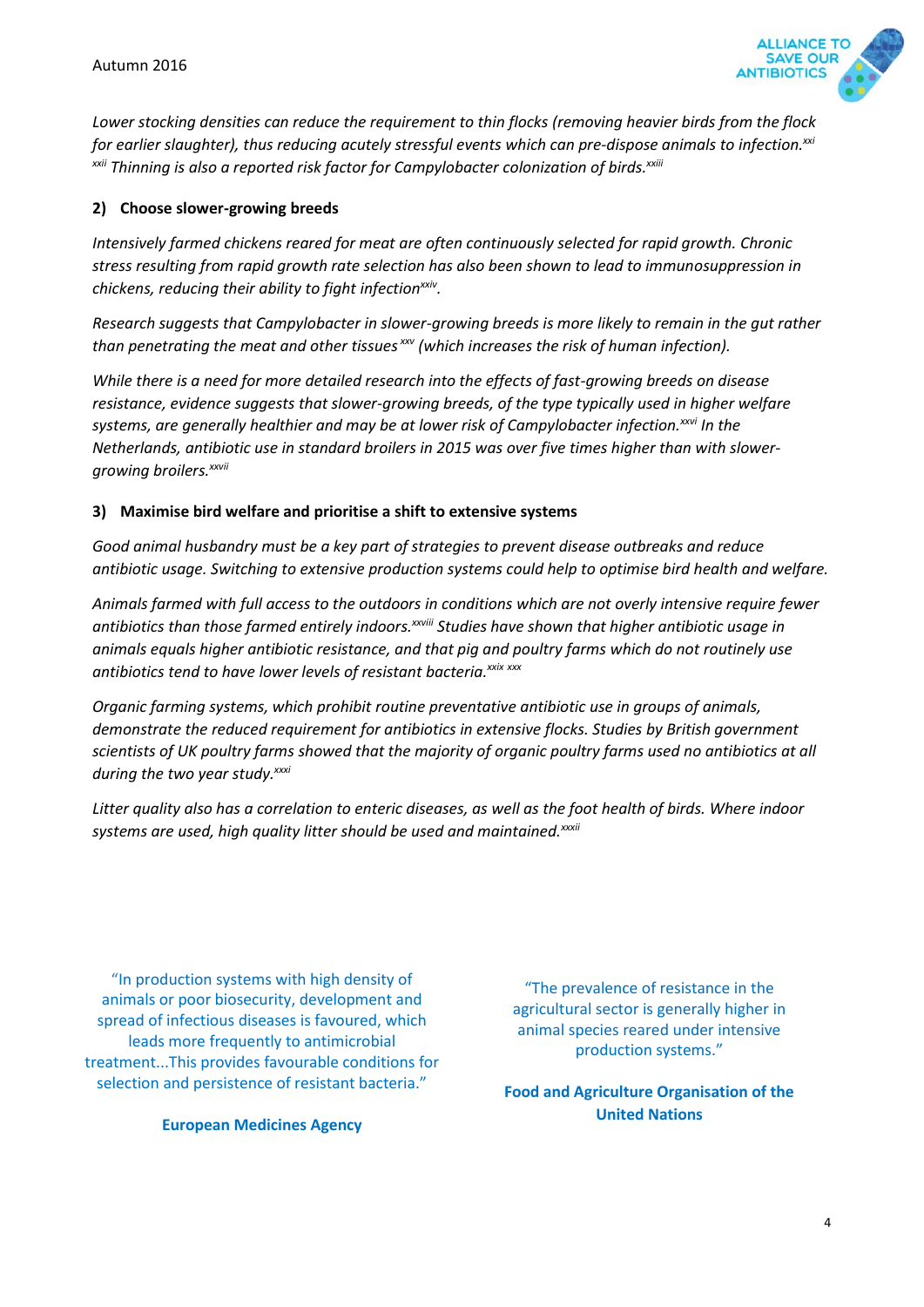

*Lower stocking densities can reduce the requirement to thin flocks (removing heavier birds from the flock for earlier slaughter), thus reducing acutely stressful events which can pre-dispose animals to infection.xxi xxii Thinning is also a reported risk factor for Campylobacter colonization of birds. xxiii*

#### **2) Choose slower-growing breeds**

*Intensively farmed chickens reared for meat are often continuously selected for rapid growth. Chronic stress resulting from rapid growth rate selection has also been shown to lead to immunosuppression in chickens, reducing their ability to fight infectionxxiv .* 

*Research suggests that Campylobacter in slower-growing breeds is more likely to remain in the gut rather than penetrating the meat and other tissues xxv (which increases the risk of human infection).* 

*While there is a need for more detailed research into the effects of fast-growing breeds on disease resistance, evidence suggests that slower-growing breeds, of the type typically used in higher welfare systems, are generally healthier and may be at lower risk of Campylobacter infection.xxvi In the Netherlands, antibiotic use in standard broilers in 2015 was over five times higher than with slowergrowing broilers.xxvii*

#### **3) Maximise bird welfare and prioritise a shift to extensive systems**

*Good animal husbandry must be a key part of strategies to prevent disease outbreaks and reduce antibiotic usage. Switching to extensive production systems could help to optimise bird health and welfare.* 

*Animals farmed with full access to the outdoors in conditions which are not overly intensive require fewer antibiotics than those farmed entirely indoors.xxviii Studies have shown that higher antibiotic usage in animals equals higher antibiotic resistance, and that pig and poultry farms which do not routinely use antibiotics tend to have lower levels of resistant bacteria. xxix xxx*

*Organic farming systems, which prohibit routine preventative antibiotic use in groups of animals, demonstrate the reduced requirement for antibiotics in extensive flocks. Studies by British government scientists of UK poultry farms showed that the majority of organic poultry farms used no antibiotics at all during the two year study.xxxi*

*Litter quality also has a correlation to enteric diseases, as well as the foot health of birds. Where indoor systems are used, high quality litter should be used and maintained.xxxii*

"In production systems with high density of animals or poor biosecurity, development and spread of infectious diseases is favoured, which leads more frequently to antimicrobial treatment...This provides favourable conditions for selection and persistence of resistant bacteria."

**European Medicines Agency**

"The prevalence of resistance in the agricultural sector is generally higher in animal species reared under intensive production systems."

**Food and Agriculture Organisation of the United Nations**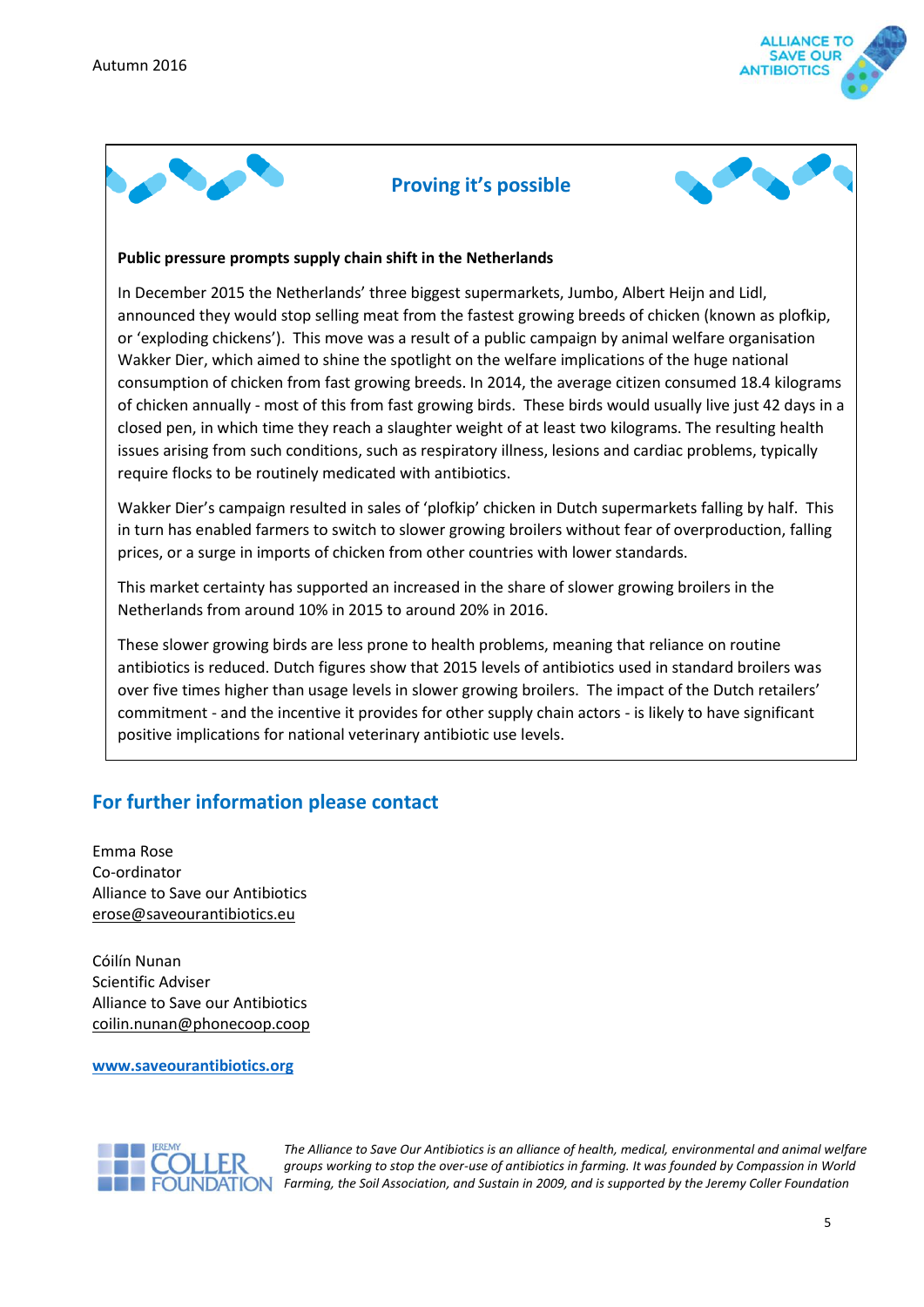



### **Proving it's possible**



#### **Public pressure prompts supply chain shift in the Netherlands**

In December 2015 the Netherlands' three biggest supermarkets, Jumbo, Albert Heijn and Lidl, announced they would stop selling meat from the fastest growing breeds of chicken (known as plofkip, or 'exploding chickens'). This move was a result of a public campaign by animal welfare organisation Wakker Dier, which aimed to shine the spotlight on the welfare implications of the huge national consumption of chicken from fast growing breeds. In 2014, the average citizen consumed 18.4 kilograms of chicken annually - most of this from fast growing birds. These birds would usually live just 42 days in a closed pen, in which time they reach a slaughter weight of at least two kilograms. The resulting health issues arising from such conditions, such as respiratory illness, lesions and cardiac problems, typically require flocks to be routinely medicated with antibiotics.

Wakker Dier's campaign resulted in sales of 'plofkip' chicken in Dutch supermarkets falling by half. This in turn has enabled farmers to switch to slower growing broilers without fear of overproduction, falling prices, or a surge in imports of chicken from other countries with lower standards.

This market certainty has supported an increased in the share of slower growing broilers in the Netherlands from around 10% in 2015 to around 20% in 2016.

These slower growing birds are less prone to health problems, meaning that reliance on routine antibiotics is reduced. Dutch figures show that 2015 levels of antibiotics used in standard broilers was over five times higher than usage levels in slower growing broilers. The impact of the Dutch retailers' commitment - and the incentive it provides for other supply chain actors - is likely to have significant positive implications for national veterinary antibiotic use levels.

## **For further information please contact**

Emma Rose Co-ordinator Alliance to Save our Antibiotics [erose@saveourantibiotics.eu](mailto:erose@saveourantibiotics.eu)

Cóilín Nunan Scientific Adviser Alliance to Save our Antibiotics [coilin.nunan@phonecoop.coop](mailto:coilin.nunan@phonecoop.coop)

#### **[www.saveourantibiotics.org](http://www.saveourantibiotics.org/)**



*The Alliance to Save Our Antibiotics is an alliance of health, medical, environmental and animal welfare groups working to stop the over-use of antibiotics in farming. It was founded by Compassion in World Farming, the Soil Association, and Sustain in 2009, and is supported by the Jeremy Coller Foundation*